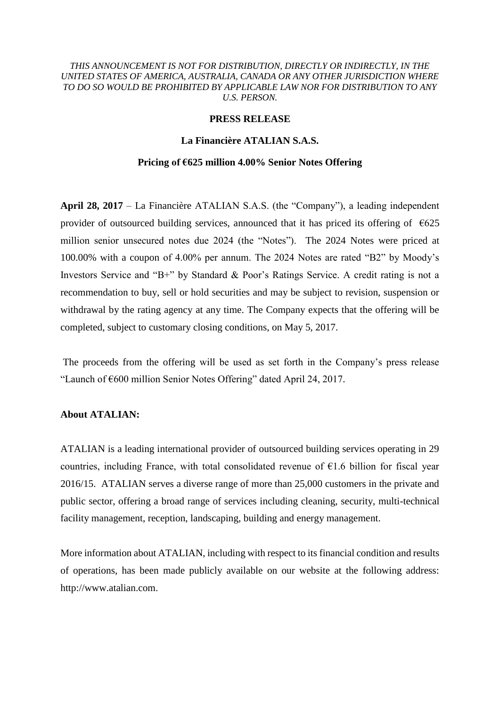## *THIS ANNOUNCEMENT IS NOT FOR DISTRIBUTION, DIRECTLY OR INDIRECTLY, IN THE UNITED STATES OF AMERICA, AUSTRALIA, CANADA OR ANY OTHER JURISDICTION WHERE TO DO SO WOULD BE PROHIBITED BY APPLICABLE LAW NOR FOR DISTRIBUTION TO ANY U.S. PERSON.*

# **PRESS RELEASE**

# **La Financière ATALIAN S.A.S.**

#### **Pricing of €625 million 4.00% Senior Notes Offering**

**April 28, 2017** – La Financière ATALIAN S.A.S. (the "Company"), a leading independent provider of outsourced building services, announced that it has priced its offering of  $\epsilon$ 625 million senior unsecured notes due 2024 (the "Notes"). The 2024 Notes were priced at 100.00% with a coupon of 4.00% per annum. The 2024 Notes are rated "B2" by Moody's Investors Service and "B+" by Standard & Poor's Ratings Service. A credit rating is not a recommendation to buy, sell or hold securities and may be subject to revision, suspension or withdrawal by the rating agency at any time. The Company expects that the offering will be completed, subject to customary closing conditions, on May 5, 2017.

The proceeds from the offering will be used as set forth in the Company's press release "Launch of €600 million Senior Notes Offering" dated April 24, 2017.

### **About ATALIAN:**

ATALIAN is a leading international provider of outsourced building services operating in 29 countries, including France, with total consolidated revenue of  $E1.6$  billion for fiscal year 2016/15. ATALIAN serves a diverse range of more than 25,000 customers in the private and public sector, offering a broad range of services including cleaning, security, multi-technical facility management, reception, landscaping, building and energy management.

More information about ATALIAN, including with respect to its financial condition and results of operations, has been made publicly available on our website at the following address: http://www.atalian.com.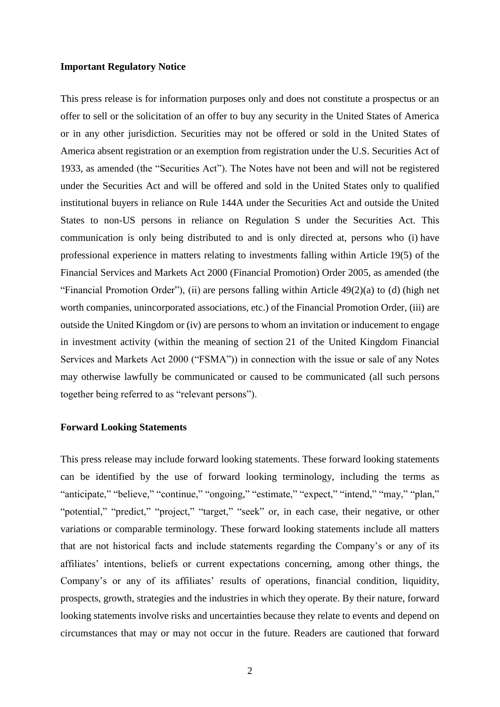## **Important Regulatory Notice**

This press release is for information purposes only and does not constitute a prospectus or an offer to sell or the solicitation of an offer to buy any security in the United States of America or in any other jurisdiction. Securities may not be offered or sold in the United States of America absent registration or an exemption from registration under the U.S. Securities Act of 1933, as amended (the "Securities Act"). The Notes have not been and will not be registered under the Securities Act and will be offered and sold in the United States only to qualified institutional buyers in reliance on Rule 144A under the Securities Act and outside the United States to non-US persons in reliance on Regulation S under the Securities Act. This communication is only being distributed to and is only directed at, persons who (i) have professional experience in matters relating to investments falling within Article 19(5) of the Financial Services and Markets Act 2000 (Financial Promotion) Order 2005, as amended (the "Financial Promotion Order"), (ii) are persons falling within Article 49(2)(a) to (d) (high net worth companies, unincorporated associations, etc.) of the Financial Promotion Order, (iii) are outside the United Kingdom or (iv) are persons to whom an invitation or inducement to engage in investment activity (within the meaning of section 21 of the United Kingdom Financial Services and Markets Act 2000 ("FSMA")) in connection with the issue or sale of any Notes may otherwise lawfully be communicated or caused to be communicated (all such persons together being referred to as "relevant persons").

# **Forward Looking Statements**

This press release may include forward looking statements. These forward looking statements can be identified by the use of forward looking terminology, including the terms as "anticipate," "believe," "continue," "ongoing," "estimate," "expect," "intend," "may," "plan," "potential," "predict," "project," "target," "seek" or, in each case, their negative, or other variations or comparable terminology. These forward looking statements include all matters that are not historical facts and include statements regarding the Company's or any of its affiliates' intentions, beliefs or current expectations concerning, among other things, the Company's or any of its affiliates' results of operations, financial condition, liquidity, prospects, growth, strategies and the industries in which they operate. By their nature, forward looking statements involve risks and uncertainties because they relate to events and depend on circumstances that may or may not occur in the future. Readers are cautioned that forward